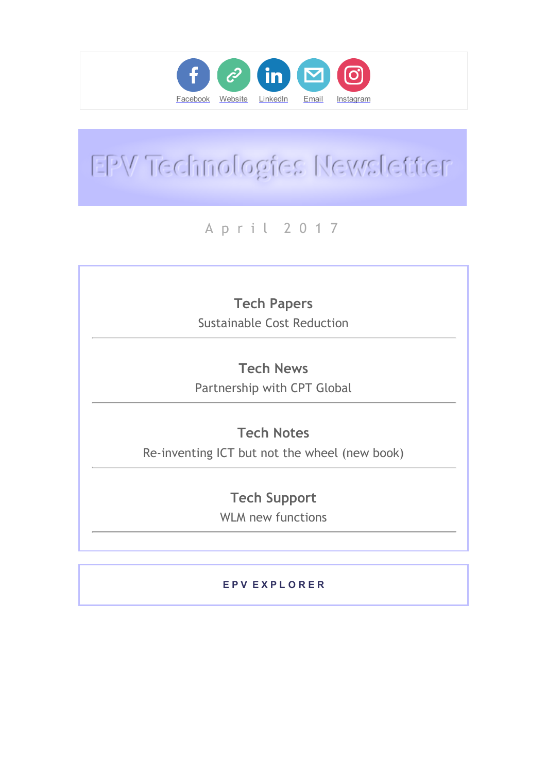

# EPV Technologies Newsletter

## A p r i l 2 0 1 7

# Tech Papers

Sustainable Cost Reduction

## Tech News

Partnership with CPT Global

## Tech Notes

Re‐inventing ICT but not the wheel (new book)

### Tech Support

WLM new functions

#### E P V E X P L O R E R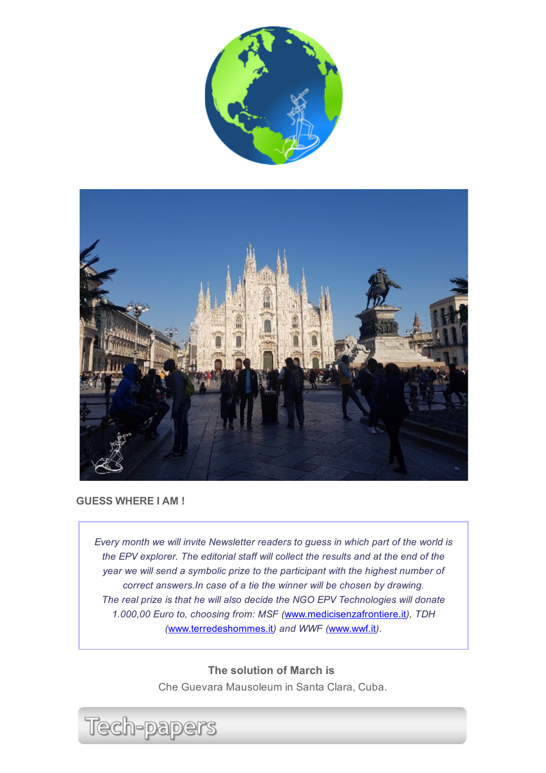



#### GUESS WHERE I AM !

Every month we will invite Newsletter readers to guess in which part of the world is the EPV explorer. The editorial staff will collect the results and at the end of the year we will send a symbolic prize to the participant with the highest number of correct answers.In case of a tie the winner will be chosen by drawing. The real prize is that he will also decide the NGO EPV Technologies will donate 1.000,00 Euro to, choosing from: MSF ([www.medicisenzafrontiere.it](http://www.medicisenzafrontiere.it/)), TDH ([www.terredeshommes.it](http://www.terredeshommes.it/)) and WWF ([www.wwf.it](http://www.wwf.it/)).

> The solution of March is Che Guevara Mausoleum in Santa Clara, Cuba.

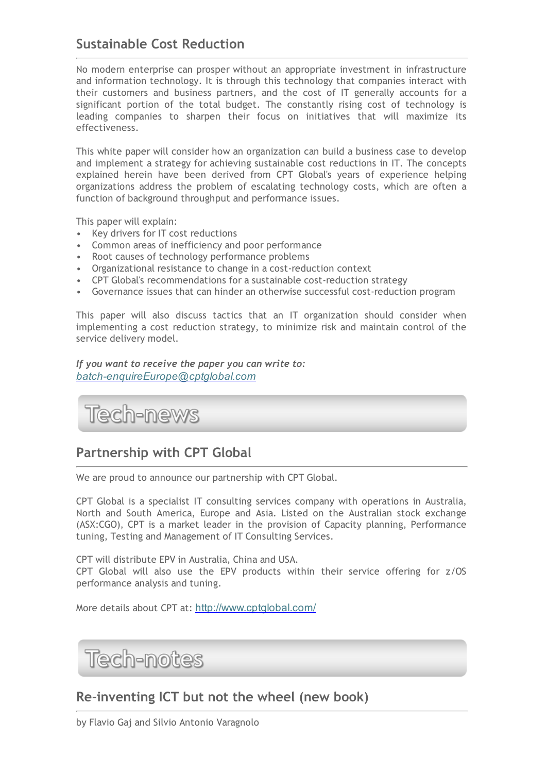#### Sustainable Cost Reduction

No modern enterprise can prosper without an appropriate investment in infrastructure and information technology. It is through this technology that companies interact with their customers and business partners, and the cost of IT generally accounts for a significant portion of the total budget. The constantly rising cost of technology is leading companies to sharpen their focus on initiatives that will maximize its effectiveness.

This white paper will consider how an organization can build a business case to develop and implement a strategy for achieving sustainable cost reductions in IT. The concepts explained herein have been derived from CPT Global's years of experience helping organizations address the problem of escalating technology costs, which are often a function of background throughput and performance issues.

This paper will explain:

- Key drivers for IT cost reductions
- Common areas of inefficiency and poor performance
- Root causes of technology performance problems
- Organizational resistance to change in a cost‐reduction context
- CPT Global's recommendations for a sustainable cost‐reduction strategy
- Governance issues that can hinder an otherwise successful cost-reduction program

This paper will also discuss tactics that an IT organization should consider when implementing a cost reduction strategy, to minimize risk and maintain control of the service delivery model.

If you want to receive the paper you can write to: batch-enquireEurope@cptglobal.com

Tech-news

#### Partnership with CPT Global

We are proud to announce our partnership with CPT Global.

CPT Global is a specialist IT consulting services company with operations in Australia, North and South America, Europe and Asia. Listed on the Australian stock exchange (ASX:CGO), CPT is a market leader in the provision of Capacity planning, Performance tuning, Testing and Management of IT Consulting Services.

CPT will distribute EPV in Australia, China and USA. CPT Global will also use the EPV products within their service offering for z/OS performance analysis and tuning.

More details about CPT at: [http://www.cptglobal.com/](http://epvtech.us2.list-manage.com/track/click?u=062eec856ef8c8851bd059563&id=105a1c45ac&e=48456c6e0b)

Tech-notes

#### Re‐inventing ICT but not the wheel (new book)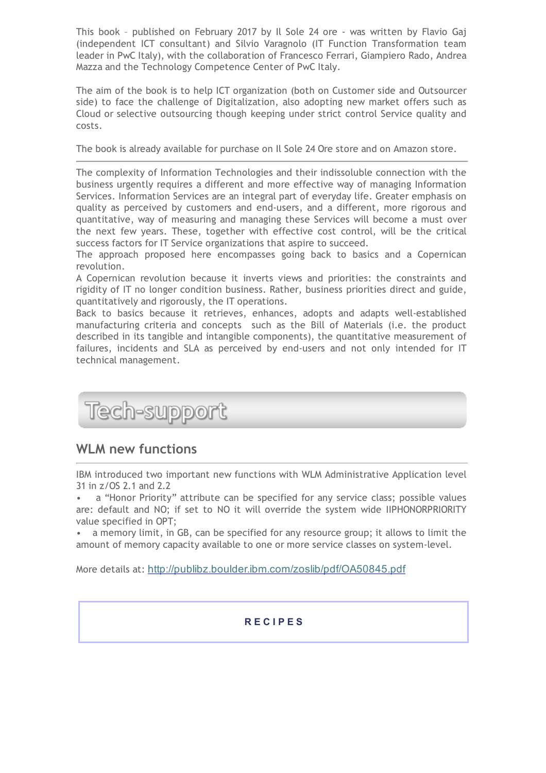This book – published on February 2017 by Il Sole 24 ore ‐ was written by Flavio Gaj (independent ICT consultant) and Silvio Varagnolo (IT Function Transformation team leader in PwC Italy), with the collaboration of Francesco Ferrari, Giampiero Rado, Andrea Mazza and the Technology Competence Center of PwC Italy.

The aim of the book is to help ICT organization (both on Customer side and Outsourcer side) to face the challenge of Digitalization, also adopting new market offers such as Cloud or selective outsourcing though keeping under strict control Service quality and costs.

The book is already available for purchase on Il Sole 24 Ore store and on Amazon store.

The complexity of Information Technologies and their indissoluble connection with the business urgently requires a different and more effective way of managing Information Services. Information Services are an integral part of everyday life. Greater emphasis on quality as perceived by customers and end‐users, and a different, more rigorous and quantitative, way of measuring and managing these Services will become a must over the next few years. These, together with effective cost control, will be the critical success factors for IT Service organizations that aspire to succeed.

The approach proposed here encompasses going back to basics and a Copernican revolution.

A Copernican revolution because it inverts views and priorities: the constraints and rigidity of IT no longer condition business. Rather, business priorities direct and guide, quantitatively and rigorously, the IT operations.

Back to basics because it retrieves, enhances, adopts and adapts well‐established manufacturing criteria and concepts such as the Bill of Materials (i.e. the product described in its tangible and intangible components), the quantitative measurement of failures, incidents and SLA as perceived by end-users and not only intended for IT technical management.

Tech-support

#### WLM new functions

IBM introduced two important new functions with WLM Administrative Application level 31 in z/OS 2.1 and 2.2

a "Honor Priority" attribute can be specified for any service class; possible values are: default and NO; if set to NO it will override the system wide IIPHONORPRIORITY value specified in OPT;

• a memory limit, in GB, can be specified for any resource group; it allows to limit the amount of memory capacity available to one or more service classes on system‐level.

More details at: [http](http://epvtech.us2.list-manage.com/track/click?u=062eec856ef8c8851bd059563&id=62dd6011e7&e=48456c6e0b)[://](http://epvtech.us2.list-manage.com/track/click?u=062eec856ef8c8851bd059563&id=e8b24ffaea&e=48456c6e0b)[publibz.boulder.ibm.com/zoslib/pdf/OA50845.pdf](http://epvtech.us2.list-manage2.com/track/click?u=062eec856ef8c8851bd059563&id=25fd948ca6&e=48456c6e0b)

#### R E C I P E S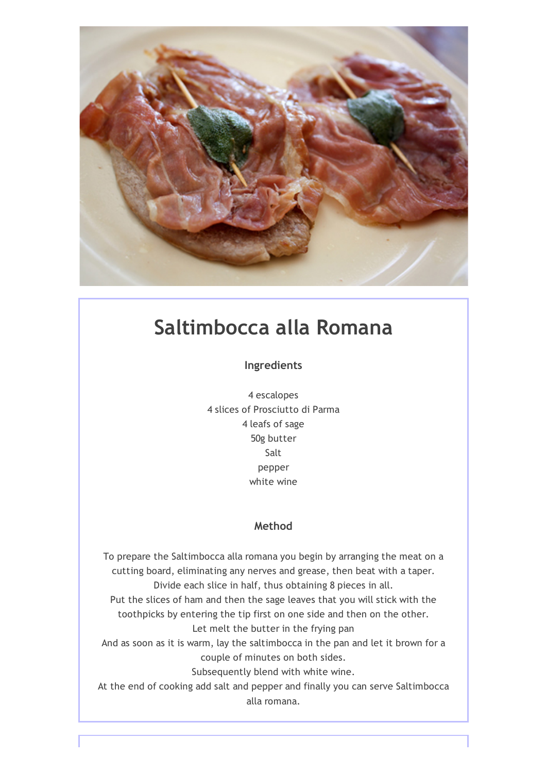

# Saltimbocca alla Romana

Ingredients

4 escalopes 4 slices of Prosciutto di Parma 4 leafs of sage 50g butter Salt pepper white wine

#### Method

To prepare the Saltimbocca alla romana you begin by arranging the meat on a cutting board, eliminating any nerves and grease, then beat with a taper. Divide each slice in half, thus obtaining 8 pieces in all. Put the slices of ham and then the sage leaves that you will stick with the toothpicks by entering the tip first on one side and then on the other. Let melt the butter in the frying pan And as soon as it is warm, lay the saltimbocca in the pan and let it brown for a couple of minutes on both sides. Subsequently blend with white wine. At the end of cooking add salt and pepper and finally you can serve Saltimbocca alla romana.